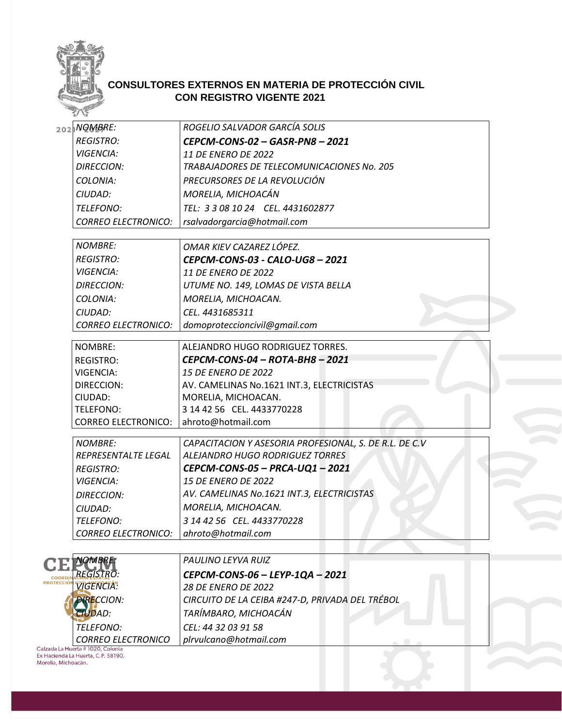

## **CONSULTORES EXTERNOS EN MATERIA DE PROTECCIÓN CIVIL CON REGISTRO VIGENTE 2021**

|                                 | 2021NQMBRE:                | ROGELIO SALVADOR GARCÍA SOLIS                          |  |
|---------------------------------|----------------------------|--------------------------------------------------------|--|
|                                 | <b>REGISTRO:</b>           | CEPCM-CONS-02 - GASR-PN8 - 2021                        |  |
|                                 | <b>VIGENCIA:</b>           | 11 DE ENERO DE 2022                                    |  |
|                                 | <b>DIRECCION:</b>          | TRABAJADORES DE TELECOMUNICACIONES No. 205             |  |
|                                 | COLONIA:                   | PRECURSORES DE LA REVOLUCIÓN                           |  |
|                                 | CIUDAD:                    | MORELIA, MICHOACÁN                                     |  |
|                                 | TELEFONO:                  | TEL: 3 3 08 10 24 CEL. 4431602877                      |  |
|                                 | <b>CORREO ELECTRONICO:</b> | rsalvadorgarcia@hotmail.com                            |  |
|                                 |                            |                                                        |  |
|                                 | <b>NOMBRE:</b>             | OMAR KIEV CAZAREZ LÓPEZ.                               |  |
|                                 | <b>REGISTRO:</b>           | CEPCM-CONS-03 - CALO-UG8 - 2021                        |  |
|                                 | <b>VIGENCIA:</b>           | 11 DE ENERO DE 2022                                    |  |
|                                 | <b>DIRECCION:</b>          | UTUME NO. 149, LOMAS DE VISTA BELLA                    |  |
|                                 | COLONIA:                   | MORELIA, MICHOACAN.                                    |  |
|                                 | CIUDAD:                    | CEL. 4431685311                                        |  |
|                                 | <b>CORREO ELECTRONICO:</b> | domoproteccioncivil@gmail.com                          |  |
|                                 | NOMBRE:                    | ALEJANDRO HUGO RODRIGUEZ TORRES.                       |  |
|                                 | <b>REGISTRO:</b>           | CEPCM-CONS-04 - ROTA-BH8 - 2021                        |  |
|                                 | <b>VIGENCIA:</b>           | <b>15 DE ENERO DE 2022</b>                             |  |
|                                 | DIRECCION:                 | AV. CAMELINAS No.1621 INT.3, ELECTRICISTAS             |  |
|                                 | CIUDAD:                    | MORELIA, MICHOACAN.                                    |  |
|                                 | TELEFONO:                  | 3 14 42 56 CEL. 4433770228                             |  |
|                                 | <b>CORREO ELECTRONICO:</b> | ahroto@hotmail.com                                     |  |
|                                 | <b>NOMBRE:</b>             | CAPACITACION Y ASESORIA PROFESIONAL, S. DE R.L. DE C.V |  |
|                                 | REPRESENTALTE LEGAL        | ALEJANDRO HUGO RODRIGUEZ TORRES                        |  |
|                                 | <b>REGISTRO:</b>           | CEPCM-CONS-05 - PRCA-UQ1 - 2021                        |  |
|                                 | <b>VIGENCIA:</b>           | <b>15 DE ENERO DE 2022</b>                             |  |
|                                 | <b>DIRECCION:</b>          | AV. CAMELINAS No.1621 INT.3, ELECTRICISTAS             |  |
|                                 | CIUDAD:                    | MORELIA, MICHOACAN.                                    |  |
|                                 | TELEFONO:                  | 3 14 42 56 CEL. 4433770228                             |  |
|                                 | <b>CORREO ELECTRONICO:</b> | ahroto@hotmail.com                                     |  |
|                                 |                            |                                                        |  |
|                                 | NOMBRET                    | PAULINO LEYVA RUIZ                                     |  |
| <b>COORD</b><br><b>ROTECCIÓ</b> | <i><b>REGISTRO:</b></i>    | CEPCM-CONS-06 - LEYP-1QA - 2021                        |  |
|                                 | <b>VIGENCIA:</b>           | <b>28 DE ENERO DE 2022</b>                             |  |
|                                 | <b>DIRECCION:</b>          | CIRCUITO DE LA CEIBA #247-D, PRIVADA DEL TRÉBOL        |  |
|                                 | <b>CIUDAD:</b>             | TARÍMBARO, MICHOACÁN                                   |  |
|                                 | TELEFONO:                  | CEL: 44 32 03 91 58                                    |  |
|                                 | <b>CORREO ELECTRONICO</b>  | plrvulcano@hotmail.com                                 |  |
|                                 |                            |                                                        |  |

Calzada La Huerta # 1020, Colonia<br>Ex Hacienda La Huerta, C.P. 58190,<br>Morelia, Michoacán.

Þ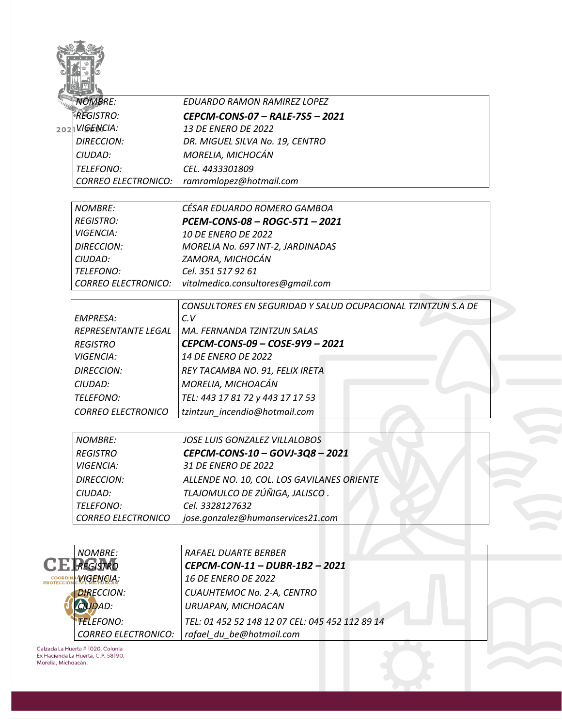|                | <b>NOMBRE:</b>             | <b>EDUARDO RAMON RAMIREZ LOPEZ</b>                           |
|----------------|----------------------------|--------------------------------------------------------------|
|                | <b>REGISTRO:</b>           | CEPCM-CONS-07 - RALE-7S5 - 2021                              |
|                | 202 VIGENCIA:              | 13 DE ENERO DE 2022                                          |
|                | <b>DIRECCION:</b>          | DR. MIGUEL SILVA No. 19, CENTRO                              |
|                | CIUDAD:                    | MORELIA, MICHOCÁN                                            |
|                | <b>TELEFONO:</b>           | CEL. 4433301809                                              |
|                | <b>CORREO ELECTRONICO:</b> | ramramlopez@hotmail.com                                      |
|                |                            |                                                              |
|                | <b>NOMBRE:</b>             | CÉSAR EDUARDO ROMERO GAMBOA                                  |
|                | <b>REGISTRO:</b>           | PCEM-CONS-08 - ROGC-5T1 - 2021                               |
|                | <b>VIGENCIA:</b>           | <b>10 DE ENERO DE 2022</b>                                   |
|                | <b>DIRECCION:</b>          | MORELIA No. 697 INT-2, JARDINADAS                            |
|                | CIUDAD:                    | ZAMORA, MICHOCÁN                                             |
|                | TELEFONO:                  | Cel. 351 517 92 61                                           |
|                | <b>CORREO ELECTRONICO:</b> | vitalmedica.consultores@gmail.com                            |
|                |                            | CONSULTORES EN SEGURIDAD Y SALUD OCUPACIONAL TZINTZUN S.A DE |
|                | <b>EMPRESA:</b>            | C.V                                                          |
|                | <b>REPRESENTANTE LEGAL</b> | MA. FERNANDA TZINTZUN SALAS                                  |
|                | <b>REGISTRO</b>            | CEPCM-CONS-09 - COSE-9Y9 - 2021                              |
|                | <b>VIGENCIA:</b>           | 14 DE ENERO DE 2022                                          |
|                | <b>DIRECCION:</b>          | REY TACAMBA NO. 91, FELIX IRETA                              |
|                | CIUDAD:                    | MORELIA, MICHOACÁN                                           |
|                | TELEFONO:                  | TEL: 443 17 81 72 y 443 17 17 53                             |
|                | <b>CORREO ELECTRONICO</b>  | tzintzun_incendio@hotmail.com                                |
|                |                            |                                                              |
|                | <b>NOMBRE:</b>             | <b>JOSE LUIS GONZALEZ VILLALOBOS</b>                         |
|                | <b>REGISTRO</b>            | CEPCM-CONS-10 - GOVJ-3Q8 - 2021                              |
|                | <b>VIGENCIA:</b>           | 31 DE ENERO DE 2022                                          |
|                | <b>DIRECCION:</b>          | ALLENDE NO. 10, COL. LOS GAVILANES ORIENTE                   |
|                | CIUDAD:                    | TLAJOMULCO DE ZÚÑIGA, JALISCO.                               |
|                | TELEFONO:                  | Cel. 3328127632                                              |
|                | <b>CORREO ELECTRONICO</b>  | jose.gonzalez@humanservices21.com                            |
|                |                            |                                                              |
|                | NOMBRE:                    | <i>RAFAEL DUARTE BERBER</i>                                  |
|                | <b>REGISTRO</b>            | CEPCM-CON-11 - DUBR-1B2 - 2021                               |
| <b>COORDIN</b> | WGENCIA:                   | <b>16 DE ENERO DE 2022</b>                                   |
| PROTECCIÓI     | <b>DIRECCION:</b>          | CUAUHTEMOC No. 2-A, CENTRO                                   |
|                | <b>CIUDAD:</b>             | URUAPAN, MICHOACAN                                           |
|                |                            |                                                              |
|                | <b>TELEFONO:</b>           | TEL: 01 452 52 148 12 07 CEL: 045 452 112 89 14              |
|                | <b>CORREO ELECTRONICO:</b> | rafael_du_be@hotmail.com                                     |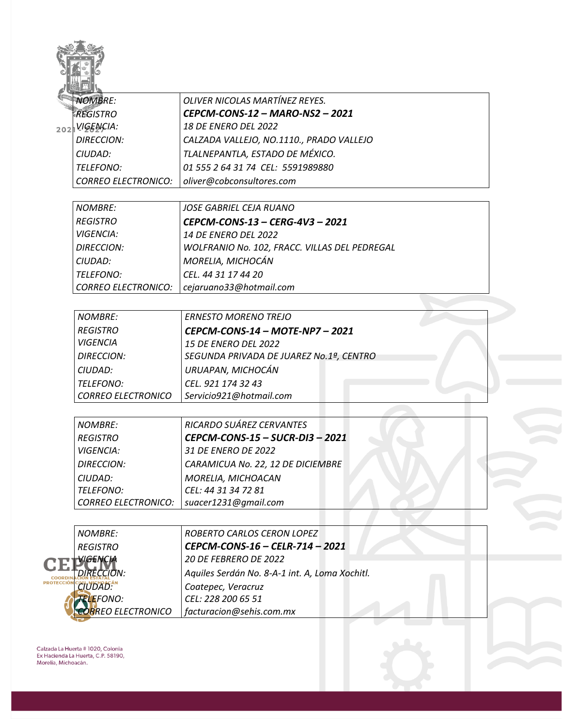| <b>NOMBRE:</b>                               | OLIVER NICOLAS MARTÍNEZ REYES.                 |
|----------------------------------------------|------------------------------------------------|
| <b>REGISTRO</b>                              | CEPCM-CONS-12 - MARO-NS2 - 2021                |
| 202 VIGENCIA:                                | <b>18 DE ENERO DEL 2022</b>                    |
| <b>DIRECCION:</b>                            | CALZADA VALLEJO, NO.1110., PRADO VALLEJO       |
| CIUDAD:                                      | TLALNEPANTLA, ESTADO DE MÉXICO.                |
| TELEFONO:                                    | 01 555 2 64 31 74 CEL: 5591989880              |
| <b>CORREO ELECTRONICO:</b>                   | oliver@cobconsultores.com                      |
| <b>NOMBRE:</b>                               | <b>JOSE GABRIEL CEJA RUANO</b>                 |
| <b>REGISTRO</b>                              | CEPCM-CONS-13 - CERG-4V3 - 2021                |
| <b>VIGENCIA:</b>                             | 14 DE ENERO DEL 2022                           |
| <b>DIRECCION:</b>                            | WOLFRANIO No. 102, FRACC. VILLAS DEL PEDREGAL  |
| CIUDAD:                                      | MORELIA, MICHOCÁN                              |
| TELEFONO:                                    | CEL. 44 31 17 44 20                            |
| <b>CORREO ELECTRONICO:</b>                   | cejaruano33@hotmail.com                        |
|                                              |                                                |
| <b>NOMBRE:</b>                               | <b>ERNESTO MORENO TREJO</b>                    |
| <b>REGISTRO</b>                              | CEPCM-CONS-14 - MOTE-NP7 - 2021                |
| <b>VIGENCIA</b>                              | <b>15 DE ENERO DEL 2022</b>                    |
| <b>DIRECCION:</b>                            | SEGUNDA PRIVADA DE JUAREZ No.1ª, CENTRO        |
| CIUDAD:                                      | URUAPAN, MICHOCÁN                              |
| TELEFONO:                                    | CEL. 921 174 32 43                             |
| <b>CORREO ELECTRONICO</b>                    | Servicio921@hotmail.com                        |
| <b>NOMBRE:</b>                               | RICARDO SUÁREZ CERVANTES                       |
|                                              | CEPCM-CONS-15 - SUCR-DI3 - 2021                |
| <b>REGISTRO</b>                              | 31 DE ENERO DE 2022                            |
| <i><b>VIGENCIA:</b></i><br><b>DIRECCION:</b> | CARAMICUA No. 22, 12 DE DICIEMBRE              |
| CIUDAD:                                      | MORELIA, MICHOACAN                             |
| TELEFONO:                                    | CEL: 44 31 34 72 81                            |
| <b>CORREO ELECTRONICO:</b>                   | suacer1231@gmail.com                           |
|                                              |                                                |
| <b>NOMBRE:</b>                               | ROBERTO CARLOS CERON LOPEZ                     |
| <b>REGISTRO</b>                              | CEPCM-CONS-16 - CELR-714 - 2021                |
| VIGENCIA                                     | 20 DE FEBRERO DE 2022                          |
| <b>DIRECCION:</b>                            | Aquiles Serdán No. 8-A-1 int. A, Loma Xochitl. |
| CIUDAD:                                      | Coatepec, Veracruz                             |
| <b>TELEFONO:</b>                             | CEL: 228 200 65 51                             |
| <b>COR</b> REO ELECTRONICO                   | facturacion@sehis.com.mx                       |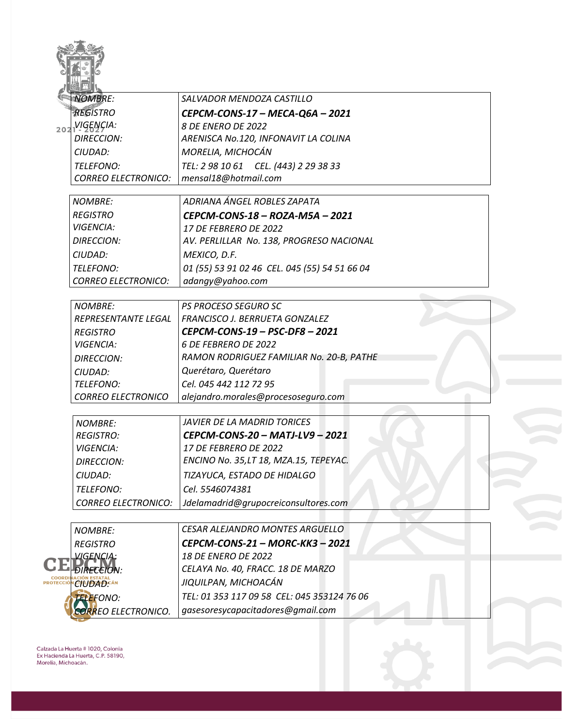| <b>NOMBRE:</b>              | SALVADOR MENDOZA CASTILLO                     |
|-----------------------------|-----------------------------------------------|
| <b>REGISTRO</b>             | CEPCM-CONS-17 - MECA-Q6A - 2021               |
| 202VIGENÇIA:                | 8 DE ENERO DE 2022                            |
| <b>DIRECCION:</b>           | ARENISCA No.120, INFONAVIT LA COLINA          |
| CIUDAD:                     | MORELIA, MICHOCÁN                             |
| TELEFONO:                   | TEL: 2 98 10 61 CEL. (443) 2 29 38 33         |
| <b>CORREO ELECTRONICO:</b>  | mensal18@hotmail.com                          |
| <b>NOMBRE:</b>              | ADRIANA ÁNGEL ROBLES ZAPATA                   |
| <b>REGISTRO</b>             | CEPCM-CONS-18 - ROZA-M5A - 2021               |
| <b>VIGENCIA:</b>            | <i>17 DE FEBRERO DE 2022</i>                  |
| <b>DIRECCION:</b>           | AV. PERLILLAR No. 138, PROGRESO NACIONAL      |
| CIUDAD:                     | MEXICO, D.F.                                  |
| TELEFONO:                   | 01 (55) 53 91 02 46 CEL. 045 (55) 54 51 66 04 |
| <b>CORREO ELECTRONICO:</b>  | adangy@yahoo.com                              |
| <b>NOMBRE:</b>              | <b>PS PROCESO SEGURO SC</b>                   |
| REPRESENTANTE LEGAL         | FRANCISCO J. BERRUETA GONZALEZ                |
| <b>REGISTRO</b>             | CEPCM-CONS-19 - PSC-DF8 - 2021                |
| <b>VIGENCIA:</b>            | 6 DE FEBRERO DE 2022                          |
| <b>DIRECCION:</b>           | RAMON RODRIGUEZ FAMILIAR No. 20-B, PATHE      |
| CIUDAD:                     | Querétaro, Querétaro                          |
| TELEFONO:                   | Cel. 045 442 112 72 95                        |
| <b>CORREO ELECTRONICO</b>   | alejandro.morales@procesoseguro.com           |
| <b>NOMBRE:</b>              | JAVIER DE LA MADRID TORICES                   |
| <b>REGISTRO:</b>            | CEPCM-CONS-20 - MATJ-LV9 - 2021               |
| <b>VIGENCIA:</b>            | 17 DE FEBRERO DE 2022                         |
| <b>DIRECCION:</b>           | ENCINO No. 35, LT 18, MZA.15, TEPEYAC.        |
| CIUDAD:                     | TIZAYUCA, ESTADO DE HIDALGO                   |
| TELEFONO:                   | Cel. 5546074381                               |
| <b>CORREO ELECTRONICO:</b>  | Jdelamadrid@grupocreiconsultores.com          |
| <b>NOMBRE:</b>              | <b>CESAR ALEJANDRO MONTES ARGUELLO</b>        |
| <b>REGISTRO</b>             | CEPCM-CONS-21 - MORC-KK3 - 2021               |
| <b>VIGENCIA:</b>            | <b>18 DE ENERO DE 2022</b>                    |
| <i><b>DIRECEION:</b></i>    | CELAYA No. 40, FRACC. 18 DE MARZO             |
| <b>CIUDAD</b> :AN           | JIQUILPAN, MICHOACÁN                          |
| <b>TELEFONO:</b>            | TEL: 01 353 117 09 58 CEL: 045 353124 76 06   |
| <b>CORR</b> EO ELECTRONICO. | gasesoresycapacitadores@gmail.com             |
|                             |                                               |

 $\sim$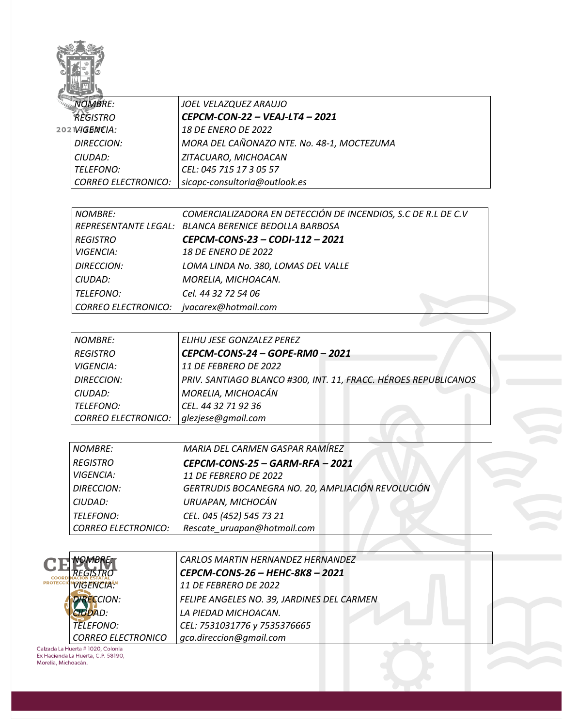

| <b>NOMBRE:</b>             | JOEL VELAZQUEZ ARAUJO                      |
|----------------------------|--------------------------------------------|
| <b>REGISTRO</b>            | CEPCM-CON-22 – VEAJ-LT4 – 2021             |
| $202$ $VAGENCIA$ :         | 18 DE ENERO DE 2022                        |
| <b>DIRECCION:</b>          | MORA DEL CAÑONAZO NTE. No. 48-1, MOCTEZUMA |
| CIUDAD:                    | ZITACUARO, MICHOACAN                       |
| <b>TELEFONO:</b>           | CEL: 045 715 17 3 05 57                    |
| <b>CORREO ELECTRONICO:</b> | sicapc-consultoria@outlook.es              |

| NOMBRE:             | COMERCIALIZADORA EN DETECCIÓN DE INCENDIOS, S.C DE R.L DE C.V |
|---------------------|---------------------------------------------------------------|
|                     | REPRESENTANTE LEGAL:   BLANCA BERENICE BEDOLLA BARBOSA        |
| <b>REGISTRO</b>     | CEPCM-CONS-23 - CODI-112 - 2021                               |
| <i>VIGENCIA:</i>    | <i>18 DE ENERO DE 2022</i>                                    |
| <b>DIRECCION:</b>   | LOMA LINDA No. 380, LOMAS DEL VALLE                           |
| CIUDAD:             | MORELIA, MICHOACAN.                                           |
| TELEFONO:           | Cel. 44 32 72 54 06                                           |
| CORREO ELECTRONICO: | jvacarex@hotmail.com                                          |

| <b>NOMBRE:</b>             | ELIHU JESE GONZALEZ PEREZ                                       |
|----------------------------|-----------------------------------------------------------------|
| <b>REGISTRO</b>            | CEPCM-CONS-24 - GOPE-RM0 - 2021                                 |
| <b>VIGENCIA:</b>           | <b>11 DE FEBRERO DE 2022</b>                                    |
| <b>DIRECCION:</b>          | PRIV. SANTIAGO BLANCO #300, INT. 11, FRACC. HÉROES REPUBLICANOS |
| CIUDAD:                    | MORELIA, MICHOACÁN                                              |
| TELEFONO:                  | CEL. 44 32 71 92 36                                             |
| <b>CORREO ELECTRONICO:</b> | glezjese@gmail.com                                              |
|                            |                                                                 |

| <b>NOMBRE:</b>             | MARIA DEL CARMEN GASPAR RAMÍREZ                   |
|----------------------------|---------------------------------------------------|
| <b>REGISTRO</b>            | CEPCM-CONS-25 - GARM-RFA - 2021                   |
| <i>VIGENCIA:</i>           | 11 DE FEBRERO DE 2022                             |
| <b>DIRECCION:</b>          | GERTRUDIS BOCANEGRA NO. 20, AMPLIACIÓN REVOLUCIÓN |
| CIUDAD:                    | URUAPAN, MICHOCÁN                                 |
| <b>TELEFONO:</b>           | CEL. 045 (452) 545 73 21                          |
| <b>CORREO ELECTRONICO:</b> | Rescate uruapan@hotmail.com                       |
|                            |                                                   |
|                            |                                                   |

|                           | <b>CARLOS MARTIN HERNANDEZ HERNANDEZ</b>   |
|---------------------------|--------------------------------------------|
|                           | CEPCM-CONS-26 - HEHC-8K8 - 2021            |
| PROTECCIÓN VIGENCIA.      | 11 DE FEBRERO DE 2022                      |
| <b>IRECCION:</b>          | FELIPE ANGELES NO. 39, JARDINES DEL CARMEN |
| 'DAD:                     | LA PIEDAD MICHOACAN.                       |
| <i><b>TELEFONO:</b></i>   | CEL: 7531031776 y 7535376665               |
| <b>CORREO ELECTRONICO</b> | gca.direccion@gmail.com                    |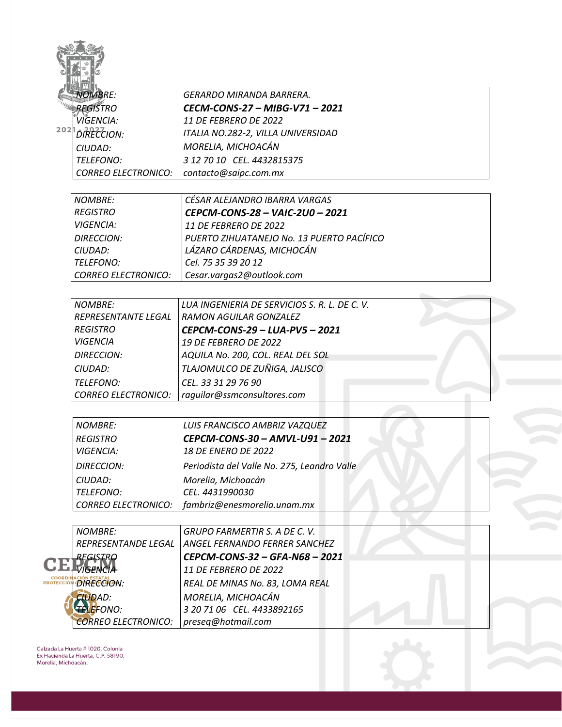| <b>NOMBRE:</b>                  | GERARDO MIRANDA BARRERA.                      |
|---------------------------------|-----------------------------------------------|
| <b>REGISTRO</b>                 | CECM-CONS-27 - MIBG-V71 - 2021                |
| VIGENCIA:                       | <b>11 DE FEBRERO DE 2022</b>                  |
| <sup>202</sup> <i>DRECCION:</i> | ITALIA NO.282-2, VILLA UNIVERSIDAD            |
|                                 | MORELIA, MICHOACÁN                            |
| CIUDAD:                         |                                               |
| TELEFONO:                       | 3 12 70 10 CEL. 4432815375                    |
| <b>CORREO ELECTRONICO:</b>      | contacto@saipc.com.mx                         |
| <b>NOMBRE:</b>                  | CÉSAR ALEJANDRO IBARRA VARGAS                 |
| <b>REGISTRO</b>                 | CEPCM-CONS-28 - VAIC-2U0 - 2021               |
| <b>VIGENCIA:</b>                | 11 DE FEBRERO DE 2022                         |
| <b>DIRECCION:</b>               | PUERTO ZIHUATANEJO No. 13 PUERTO PACÍFICO     |
| CIUDAD:                         | LÁZARO CÁRDENAS, MICHOCÁN                     |
| TELEFONO:                       | Cel. 75 35 39 20 12                           |
| <b>CORREO ELECTRONICO:</b>      | Cesar.vargas2@outlook.com                     |
|                                 |                                               |
| <b>NOMBRE:</b>                  | LUA INGENIERIA DE SERVICIOS S. R. L. DE C. V. |
| REPRESENTANTE LEGAL             | <b>RAMON AGUILAR GONZALEZ</b>                 |
| <b>REGISTRO</b>                 | CEPCM-CONS-29 - LUA-PV5 - 2021                |
| <b>VIGENCIA</b>                 | <b>19 DE FEBRERO DE 2022</b>                  |
| <b>DIRECCION:</b>               | AQUILA No. 200, COL. REAL DEL SOL             |
| CIUDAD:                         | TLAJOMULCO DE ZUÑIGA, JALISCO                 |
| TELEFONO:                       | CEL. 33 31 29 76 90                           |
| <b>CORREO ELECTRONICO:</b>      | raquilar@ssmconsultores.com                   |
|                                 |                                               |
| <b>NOMBRE:</b>                  | LUIS FRANCISCO AMBRIZ VAZQUEZ                 |
| <b>REGISTRO</b>                 | CEPCM-CONS-30 - AMVL-U91 - 2021               |
| <i><b>VIGENCIA:</b></i>         | <b>18 DE ENERO DE 2022</b>                    |
| <b>DIRECCION:</b>               | Periodista del Valle No. 275, Leandro Valle   |
| CIUDAD:                         | Morelia, Michoacán                            |
| TELEFONO:                       | CEL. 4431990030                               |
| <b>CORREO ELECTRONICO:</b>      | fambriz@enesmorelia.unam.mx                   |
|                                 |                                               |
| <b>NOMBRE:</b>                  | <b>GRUPO FARMERTIR S. A DE C. V.</b>          |
| REPRESENTANDE LEGAL             | ANGEL FERNANDO FERRER SANCHEZ                 |
| REGISTRO                        | CEPCM-CONS-32 - GFA-N68 - 2021                |
| <b>VIGFNCIA</b>                 | 11 DE FEBRERO DE 2022                         |
| DIRECCION:                      | REAL DE MINAS No. 83, LOMA REAL               |
| <b>CIUDAD:</b>                  | MORELIA, MICHOACÁN                            |
| <b>TELEFONO:</b>                | 3 20 71 06 CEL. 4433892165                    |
| <b>CORREO ELECTRONICO:</b>      | preseq@hotmail.com                            |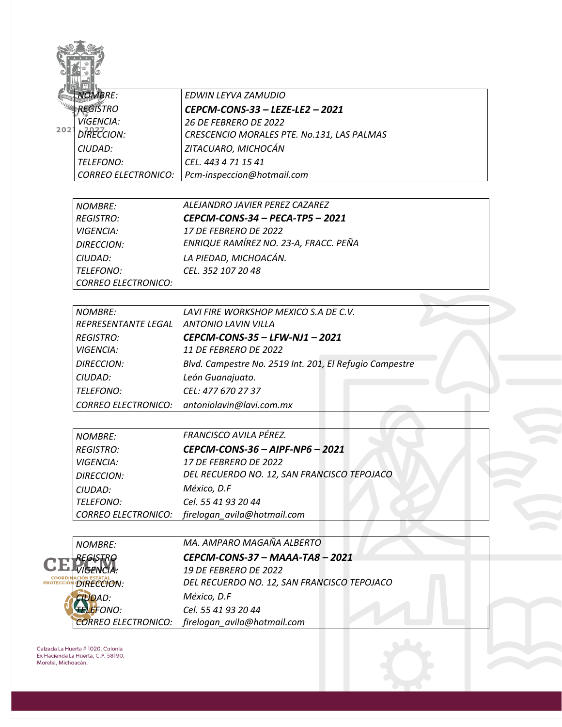| <b>NOMBRE:</b>             | EDWIN LEYVA ZAMUDIO                                     |
|----------------------------|---------------------------------------------------------|
| <b>REGISTRO</b>            | CEPCM-CONS-33 - LEZE-LE2 - 2021                         |
| VIGENCIA:<br>2021          | <b>26 DE FEBRERO DE 2022</b>                            |
| <b>DIRECCION:</b>          | CRESCENCIO MORALES PTE. No.131, LAS PALMAS              |
| CIUDAD:                    | ZITACUARO, MICHOCÁN                                     |
| TELEFONO:                  | CEL. 443 4 71 15 41                                     |
| <b>CORREO ELECTRONICO:</b> | Pcm-inspeccion@hotmail.com                              |
|                            |                                                         |
| <b>NOMBRE:</b>             | ALEJANDRO JAVIER PEREZ CAZAREZ                          |
| <b>REGISTRO:</b>           | CEPCM-CONS-34 - PECA-TP5 - 2021                         |
| <b>VIGENCIA:</b>           | 17 DE FEBRERO DE 2022                                   |
| <b>DIRECCION:</b>          | ENRIQUE RAMÍREZ NO. 23-A, FRACC. PEÑA                   |
| CIUDAD:                    | LA PIEDAD, MICHOACÁN.                                   |
| TELEFONO:                  | CEL. 352 107 20 48                                      |
| <b>CORREO ELECTRONICO:</b> |                                                         |
|                            |                                                         |
| <b>NOMBRE:</b>             | LAVI FIRE WORKSHOP MEXICO S.A DE C.V.                   |
| REPRESENTANTE LEGAL        | <b>ANTONIO LAVIN VILLA</b>                              |
| <b>REGISTRO:</b>           | CEPCM-CONS-35 - LFW-NJ1 - 2021                          |
| <b>VIGENCIA:</b>           | <b>11 DE FEBRERO DE 2022</b>                            |
| <b>DIRECCION:</b>          | Blvd. Campestre No. 2519 Int. 201, El Refugio Campestre |
| CIUDAD:                    | León Guanajuato.                                        |
| <b>TELEFONO:</b>           | CEL: 477 670 27 37                                      |
| <b>CORREO ELECTRONICO:</b> | antoniolavin@lavi.com.mx                                |
|                            |                                                         |
| <b>NOMBRE:</b>             | FRANCISCO AVILA PÉREZ.                                  |
| <b>REGISTRO:</b>           | CEPCM-CONS-36 - AIPF-NP6 - 2021                         |
| VIGENCIA:                  | 17 DE FEBRERO DE 2022                                   |
| <b>DIRECCION:</b>          | DEL RECUERDO NO. 12, SAN FRANCISCO TEPOJACO             |
| CIUDAD:                    | México, D.F                                             |
| <b>TELEFONO:</b>           | Cel. 55 41 93 20 44                                     |
| <b>CORREO ELECTRONICO:</b> | firelogan avila@hotmail.com                             |
|                            |                                                         |
| <b>NOMBRE:</b>             | MA. AMPARO MAGAÑA ALBERTO                               |
| REGISTRO                   | CEPCM-CONS-37 - MAAA-TA8 - 2021                         |
| 'IGENCIA:                  | <b>19 DE FEBRERO DE 2022</b>                            |
| DIRECCION:                 | DEL RECUERDO NO. 12, SAN FRANCISCO TEPOJACO             |
| <b>CIUDAD:</b>             | México, D.F                                             |
| <b>TELEFONO:</b>           | Cel. 55 41 93 20 44                                     |
| <b>CORREO ELECTRONICO:</b> | firelogan avila@hotmail.com                             |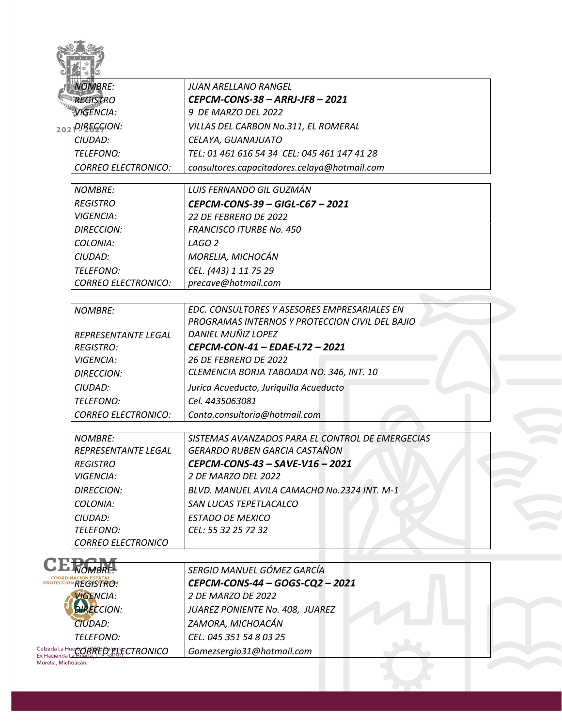| <b>NOMBRE:</b>                      | JUAN ARELLANO RANGEL                             |
|-------------------------------------|--------------------------------------------------|
| <b>REGISTRO</b>                     | CEPCM-CONS-38 - ARRJ-JF8 - 2021                  |
| <b>VIGENCIA:</b>                    | 9 DE MARZO DEL 2022                              |
| 202 PIBECCION:                      | VILLAS DEL CARBON No.311, EL ROMERAL             |
| CIUDAD:                             | CELAYA, GUANAJUATO                               |
| TELEFONO:                           | TEL: 01 461 616 54 34 CEL: 045 461 147 41 28     |
| <b>CORREO ELECTRONICO:</b>          | consultores.capacitadores.celaya@hotmail.com     |
| <b>NOMBRE:</b>                      | LUIS FERNANDO GIL GUZMÁN                         |
| <b>REGISTRO</b>                     | CEPCM-CONS-39 - GIGL-C67 - 2021                  |
| <b>VIGENCIA:</b>                    | 22 DE FEBRERO DE 2022                            |
| <b>DIRECCION:</b>                   | <b>FRANCISCO ITURBE No. 450</b>                  |
| COLONIA:                            | LAGO <sub>2</sub>                                |
| CIUDAD:                             | MORELIA, MICHOCÁN                                |
| TELEFONO:                           | CEL. (443) 1 11 75 29                            |
| <b>CORREO ELECTRONICO:</b>          | precave@hotmail.com                              |
| <b>NOMBRE:</b>                      | EDC. CONSULTORES Y ASESORES EMPRESARIALES EN     |
|                                     | PROGRAMAS INTERNOS Y PROTECCION CIVIL DEL BAJIO  |
| REPRESENTANTE LEGAL                 | DANIEL MUÑIZ LOPEZ                               |
| <b>REGISTRO:</b>                    | CEPCM-CON-41 - EDAE-L72 - 2021                   |
| <b>VIGENCIA:</b>                    | 26 DE FEBRERO DE 2022                            |
| <b>DIRECCION:</b>                   | CLEMENCIA BORJA TABOADA NO. 346, INT. 10         |
| CIUDAD:                             | Jurica Acueducto, Juriquilla Acueducto           |
| TELEFONO:                           | Cel. 4435063081                                  |
| <b>CORREO ELECTRONICO:</b>          | Conta.consultoria@hotmail.com                    |
| <b>NOMBRE:</b>                      | SISTEMAS AVANZADOS PARA EL CONTROL DE EMERGECIAS |
| REPRESENTANTE LEGAL                 | GERARDO RUBEN GARCIA CASTAÑON                    |
| <b>REGISTRO</b>                     | CEPCM-CONS-43 - SAVE-V16 - 2021                  |
| <b>VIGENCIA:</b>                    | 2 DE MARZO DEL 2022                              |
| <b>DIRECCION:</b>                   | BLVD. MANUEL AVILA CAMACHO No.2324 INT. M-1      |
| COLONIA:                            | SAN LUCAS TEPETLACALCO                           |
| CIUDAD:                             | <b>ESTADO DE MEXICO</b>                          |
| TELEFONO:                           | CEL: 55 32 25 72 32                              |
| <b>CORREO ELECTRONICO</b>           |                                                  |
|                                     | SERGIO MANUEL GÓMEZ GARCÍA                       |
| <b>REGISTRO:</b>                    | CEPCM-CONS-44 - GOGS-CQ2 - 2021                  |
| <b>VIGENCIA:</b>                    | 2 DE MARZO DE 2022                               |
| <b>DIRECCION:</b>                   | JUAREZ PONIENTE No. 408, JUAREZ                  |
| <b>CIUDAD:</b>                      | ZAMORA, MICHOACÁN                                |
| TELEFONO:                           | CEL. 045 351 54 8 03 25                          |
| Calzada La Huerto RREO PriECTRONICO | Gomezsergio31@hotmail.com                        |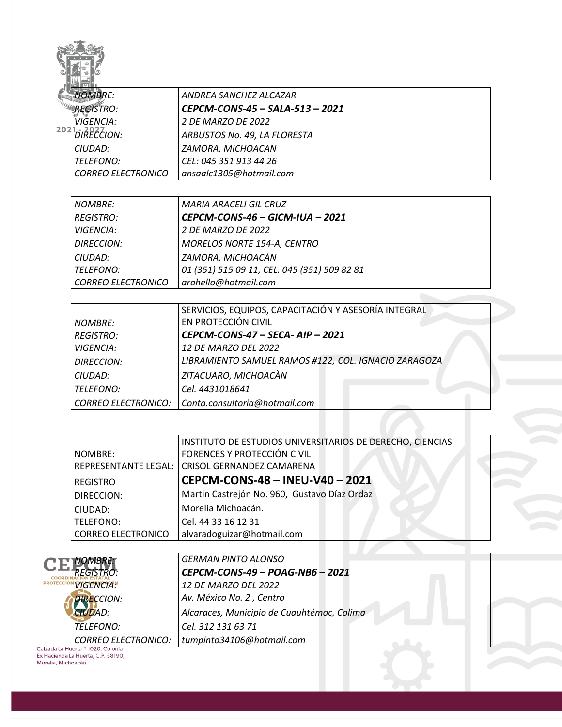|                     | <b>NOMBRE:</b>                         | ANDREA SANCHEZ ALCAZAR                                                       |
|---------------------|----------------------------------------|------------------------------------------------------------------------------|
|                     | REGISTRO:                              | CEPCM-CONS-45 - SALA-513 - 2021                                              |
|                     | VIGENCIA:                              | 2 DE MARZO DE 2022                                                           |
|                     | <sup>202</sup> <sup>1</sup> DIRECCION: | ARBUSTOS No. 49, LA FLORESTA                                                 |
|                     | CIUDAD:                                | ZAMORA, MICHOACAN                                                            |
|                     | TELEFONO:                              | CEL: 045 351 913 44 26                                                       |
|                     | <b>CORREO ELECTRONICO</b>              | ansaalc1305@hotmail.com                                                      |
|                     |                                        |                                                                              |
|                     | <b>NOMBRE:</b>                         | <b>MARIA ARACELI GIL CRUZ</b>                                                |
|                     | <b>REGISTRO:</b>                       | CEPCM-CONS-46 - GICM-IUA - 2021                                              |
|                     | <b>VIGENCIA:</b>                       | 2 DE MARZO DE 2022                                                           |
|                     | <b>DIRECCION:</b>                      | MORELOS NORTE 154-A, CENTRO                                                  |
|                     | CIUDAD:                                | ZAMORA, MICHOACÁN                                                            |
|                     | TELEFONO:                              | 01 (351) 515 09 11, CEL. 045 (351) 509 82 81                                 |
|                     | <b>CORREO ELECTRONICO</b>              | arahello@hotmail.com                                                         |
|                     |                                        |                                                                              |
|                     |                                        | SERVICIOS, EQUIPOS, CAPACITACIÓN Y ASESORÍA INTEGRAL<br>EN PROTECCIÓN CIVIL  |
|                     | <b>NOMBRE:</b>                         |                                                                              |
|                     | <b>REGISTRO:</b>                       | CEPCM-CONS-47 - SECA- AIP - 2021                                             |
|                     | <b>VIGENCIA:</b>                       | 12 DE MARZO DEL 2022<br>LIBRAMIENTO SAMUEL RAMOS #122, COL. IGNACIO ZARAGOZA |
|                     | <b>DIRECCION:</b>                      |                                                                              |
|                     | CIUDAD:                                | ZITACUARO, MICHOACÀN                                                         |
|                     | <b>TELEFONO:</b>                       | Cel. 4431018641                                                              |
|                     | <b>CORREO ELECTRONICO:</b>             | Conta.consultoria@hotmail.com                                                |
|                     |                                        |                                                                              |
|                     |                                        | INSTITUTO DE ESTUDIOS UNIVERSITARIOS DE DERECHO, CIENCIAS                    |
|                     | NOMBRE:                                | FORENCES Y PROTECCIÓN CIVIL                                                  |
|                     | REPRESENTANTE LEGAL:                   | CRISOL GERNANDEZ CAMARENA                                                    |
|                     | <b>REGISTRO</b>                        | CEPCM-CONS-48 - INEU-V40 - 2021                                              |
|                     | DIRECCION:                             | Martin Castrejón No. 960, Gustavo Díaz Ordaz                                 |
|                     | CIUDAD:                                | Morelia Michoacán.                                                           |
|                     | <b>TELEFONO:</b>                       | Cel. 44 33 16 12 31                                                          |
|                     | <b>CORREO ELECTRONICO</b>              | alvaradoguizar@hotmail.com                                                   |
|                     |                                        |                                                                              |
|                     | NOMBRE:                                | <b>GERMAN PINTO ALONSO</b>                                                   |
| COORDI<br>PROTECCIÓ | <b>REGISTRO:</b>                       | CEPCM-CONS-49 - POAG-NB6 - 2021                                              |
|                     | <b>VIGENCIA</b> <sup>N</sup>           | 12 DE MARZO DEL 2022                                                         |
|                     | <b>DIRECCION:</b>                      | Av. México No. 2, Centro                                                     |
|                     | <b>CIUDAD:</b>                         | Alcaraces, Municipio de Cuauhtémoc, Colima                                   |
|                     | TELEFONO:                              | Cel. 312 131 63 71                                                           |
|                     | <b>CORREO ELECTRONICO:</b>             | tumpinto34106@hotmail.com                                                    |
|                     | alzada La Huerta # 1020, Colonia       |                                                                              |